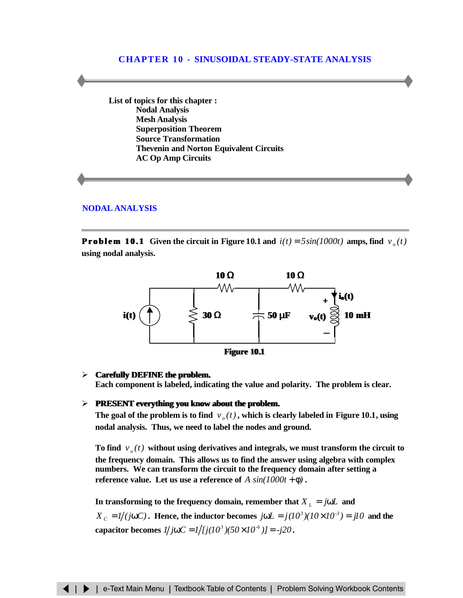# **CHAPTER 10 - SINUSOIDAL STEADY-STATE ANALYSIS**

**List of topics for this chapter : Nodal Analysis [Mesh Analysis](#page-5-0) [Superposition Theorem](#page-7-0) [Source Transformation](#page-11-0) [Thevenin and Norton Equivalent Circuits](#page-13-0) [AC Op Amp Circuits](#page-17-0)**

#### **[NODAL ANALYSIS](#page-1-0)**

**Problem 10.1** Given the circuit in Figure 10.1 and  $i(t) = 5\sin(1000t)$  amps, find  $v_a(t)$ **using nodal analysis.**





#### > **Carefully DEFINE the problem.**

**Each component is labeled, indicating the value and polarity. The problem is clear.**

#### $\triangleright$  **PRESENT everything you know about the problem.**

The goal of the problem is to find  $v_a(t)$ , which is clearly labeled in Figure 10.1, using **nodal analysis. Thus, we need to label the nodes and ground.**

To find  $v_{o}(t)$  without using derivatives and integrals, we must transform the circuit to **the frequency domain. This allows us to find the answer using algebra with complex numbers. We can transform the circuit to the frequency domain after setting a reference value.** Let us use a reference of  $A \sin(1000t + \phi)$ .

In transforming to the frequency domain, remember that  $X_L = j\omega L$  and  $X_c = 1/(j\omega C)$ . Hence, the inductor becomes  $j\omega L = j(10^3)(10 \times 10^{-3}) = j10$  and the **capacitor becomes**  $1/j\omega C = 1/(j(10^3)(50 \times 10^{-6})) = -j20$ .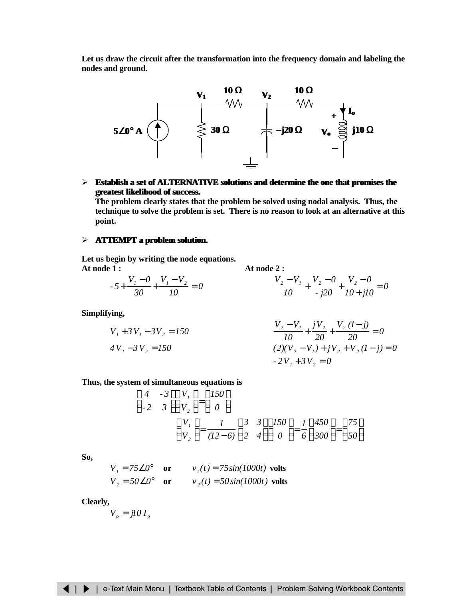<span id="page-1-0"></span>**Let us draw the circuit after the transformation into the frequency domain and labeling the nodes and ground.**



# ÿ **Establish a set of ALTERNATIVE solutions and determine the one that promises the greatest likelihood of success.**

**The problem clearly states that the problem be solved using nodal analysis. Thus, the technique to solve the problem is set. There is no reason to look at an alternative at this point.**

### ÿ **ATTEMPT a problem solution.**

**Let us begin by writing the node equations. At node 1 : At node 2 :**

$$
-5 + \frac{V_1 - 0}{30} + \frac{V_1 - V_2}{10} = 0
$$
\n
$$
\frac{V_2 - V_1}{10} + \frac{V_2 - 0}{10} + \frac{V_2 - 0}{10 + 10} = 0
$$

**Simplifying,**

$$
V_1 + 3V_1 - 3V_2 = 150
$$
  
\n
$$
4V_1 - 3V_2 = 150
$$
  
\n
$$
V_2 - V_1 + jV_2 + \frac{V_2(1-j)}{20} = 0
$$
  
\n
$$
(2)(V_2 - V_1) + jV_2 + V_2(1-j) = 0
$$
  
\n
$$
-2V_1 + 3V_2 = 0
$$

**Thus, the system of simultaneous equations is**

$$
\begin{bmatrix} 4 & -3 \ 2 & 3 \end{bmatrix} \begin{bmatrix} V_1 \ V_2 \end{bmatrix} = \begin{bmatrix} 150 \ 0 \end{bmatrix}
$$

$$
\begin{bmatrix} V_1 \ V_2 \end{bmatrix} = \frac{1}{(12-6)} \begin{bmatrix} 3 & 3 \ 2 & 4 \end{bmatrix} \begin{bmatrix} 150 \ 0 \end{bmatrix} = \frac{1}{6} \begin{bmatrix} 450 \ 300 \end{bmatrix} = \begin{bmatrix} 75 \ 50 \end{bmatrix}
$$

**So,**

$$
V_1 = 75\angle 0^\circ \quad \text{or} \quad v_1(t) = 75\sin(1000t) \text{ volts}
$$
  

$$
V_2 = 50\angle 0^\circ \quad \text{or} \quad v_2(t) = 50\sin(1000t) \text{ volts}
$$

**Clearly,**

$$
V_o = j l \theta I_o
$$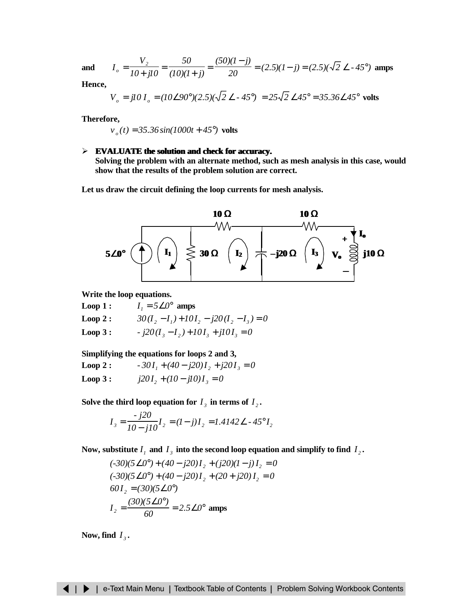**and**  $I_{\rho} = \frac{2}{10+10^2} = \frac{2}{(10)(1+1)} = \frac{(2.5)(1-1)}{20} = (2.5)(1-1) = (2.5)(\sqrt{2} \le -45^{\circ})$ *20 (50)(1 j)*  $(10)(1 + j)$ *50 10 j10 V*  $I_o = \frac{V_2}{I_0 + 3I_0} = \frac{50}{(10)(1+i)} = \frac{(50)(1-j)}{20} = (2.5)(1-j) = (2.5)(\sqrt{2} \le -45^\circ)$ − = + = +  $=\frac{2}{10+10}=\frac{2}{(10)(1+1)}=\frac{(2.5)(1-3)}{20}=(2.5)(1-3)=(2.5)(\sqrt{2}\times-45^{\circ})$  amps

**Hence,**

$$
V_o = j10 I_o = (10\angle 90^\circ)(2.5)(\sqrt{2} \angle -45^\circ) = 25\sqrt{2} \angle 45^\circ = 35.36\angle 45^\circ
$$
 volts

**Therefore,**

 $v_o(t) = 35.36 \sin(1000t + 45^\circ)$  volts

## ÿ **EVALUATE the solution and check for accuracy.**

**Solving the problem with an alternate method, such as mesh analysis in this case, would show that the results of the problem solution are correct.**

**Let us draw the circuit defining the loop currents for mesh analysis.**



**Write the loop equations.**

- **Loop 1 :**  $I_1 = 5\angle 0^\circ$  amps
- $Loop 2:$  $\frac{1}{2}$  –  $I_1$ ) +  $10I_2$  –  $j20(I_2 - I_3) = 0$
- **Loop 3 :**  $j20(I_3 I_2) + 10I_3 + j10I_3 = 0$

**Simplifying the equations for loops 2 and 3,**

 $Loop 2:$  $I_1 + (40 - j20)I_2 + j20I_3 = 0$ **Loop 3 :**  $I_2 + (10 - j10)I_3 = 0$ 

Solve the third loop equation for  $I_3$  in terms of  $I_2$ .

$$
I_3 = \frac{-j20}{10 - j10} I_2 = (I - j)I_2 = 1.4142 \angle -45^\circ I_2
$$

Now, substitute  $I_j$  and  $I_j$  into the second loop equation and simplify to find  $I_j$ .

$$
(-30)(5\angle 0^{\circ}) + (40 - j20)I_2 + (j20)(I - j)I_2 = 0
$$
  
\n
$$
(-30)(5\angle 0^{\circ}) + (40 - j20)I_2 + (20 + j20)I_2 = 0
$$
  
\n
$$
60I_2 = (30)(5\angle 0^{\circ})
$$
  
\n
$$
I_2 = \frac{(30)(5\angle 0^{\circ})}{60} = 2.5\angle 0^{\circ}
$$
amps

Now, find  $I_3$ .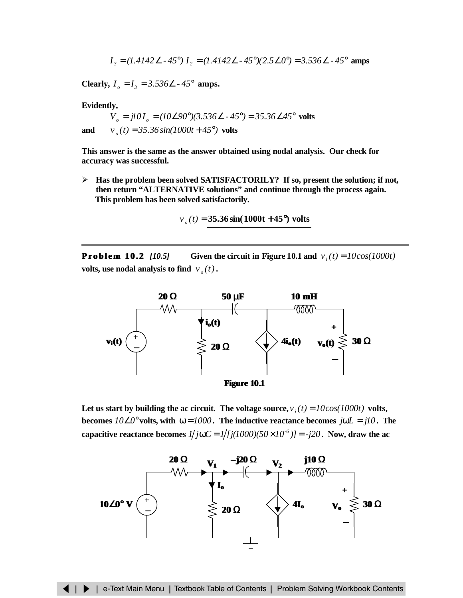$$
I_3 = (1.4142 \angle -45^\circ) I_2 = (1.4142 \angle -45^\circ)(2.5 \angle 0^\circ) = 3.536 \angle -45^\circ
$$
amps

**Clearly,**  $I_0 = I_3 = 3.536 \angle 2.45^\circ$  amps.

**Evidently,**

 $V_o = j10I_o = (10\angle 90^\circ)(3.536\angle -45^\circ) = 35.36\angle 45^\circ$  volts **and**  $v_a(t) = 35.36 \sin(1000t + 45^\circ)$  volts

**This answer is the same as the answer obtained using nodal analysis. Our check for accuracy was successful.**

ÿ **Has the problem been solved SATISFACTORILY? If so, present the solution; if not, then return "ALTERNATIVE solutions" and continue through the process again. This problem has been solved satisfactorily.**

$$
v_o(t) = 35.36 \sin(1000t + 45^{\circ})
$$
 volts

**Problem 10.2** [10.5] Given the circuit in Figure 10.1 and  $v_i(t) = 10\cos(1000t)$ **volts, use nodal analysis to find**  $v_a(t)$ **.** 



Let us start by building the ac circuit. The voltage source,  $v_i(t) = 10\cos(1000t)$  volts, **becomes**  $10\angle0^\circ$  volts, with  $\omega = 1000$ . The inductive reactance becomes  $j\omega L = j10$ . The **capacitive reactance becomes**  $1/j\omega C = 1/j(1000)(50 \times 10^{-6}) = -j20$ . Now, draw the ac

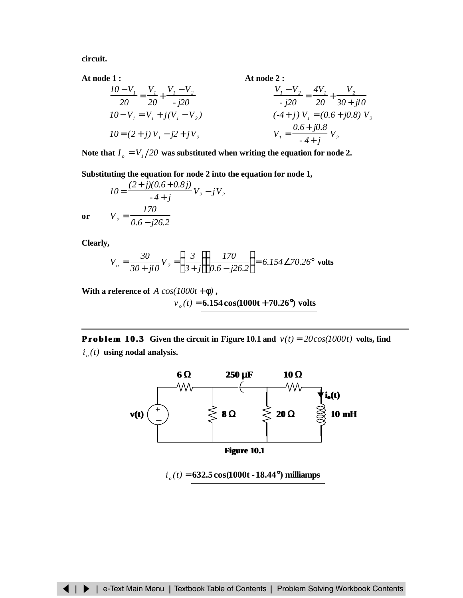<span id="page-4-0"></span>**circuit.**

**At node 1 : At node 2 :**

$$
\frac{10 - V_1}{20} = \frac{V_1}{20} + \frac{V_1 - V_2}{j20}
$$
\n
$$
10 - V_1 = V_1 + j(V_1 - V_2)
$$
\n
$$
10 = (2 + j) V_1 - j2 + jV_2
$$
\n
$$
V_1 = \frac{0.6 + j0.8}{-4 + j} V_2
$$
\n
$$
V_2 = \frac{0.6 + j0.8}{-4 + j} V_2
$$

Note that  $I_o = V_1/20$  was substituted when writing the equation for node 2.

**Substituting the equation for node 2 into the equation for node 1,**

$$
IO = \frac{(2+j)(0.6+0.8j)}{-4+j} V_2 - jV_2
$$

$$
V_2 = \frac{170}{0.6-j26.2}
$$

**or**

**Clearly,**

$$
V_o = \frac{30}{30 + jI0} V_2 = \left(\frac{3}{3 + j}\right) \left(\frac{170}{0.6 - j26.2}\right) = 6.154 \angle 70.26^\circ
$$
 volts

**With a reference of**  $A \cos(1000t + \phi)$ ,

$$
v_o(t) = 6.154 \cos(1000t + 70.26^{\circ})
$$
 volts

**Problem 10.3** Given the circuit in Figure 10.1 and  $v(t) = 20\cos(1000t)$  volts, find  $i_a(t)$  using nodal analysis.



*i o (t)* = **632.5cos(1000t -18.44°) milliamps**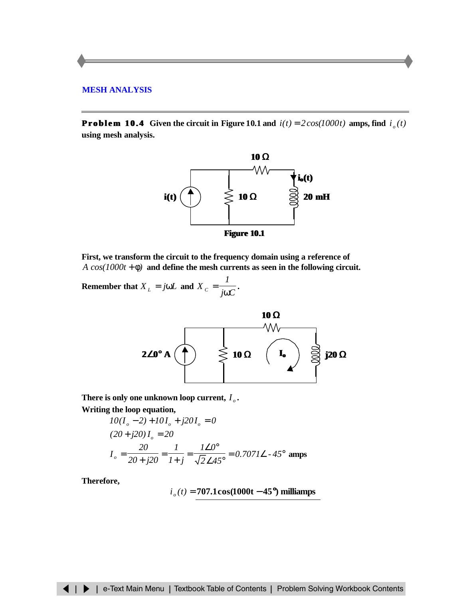# <span id="page-5-0"></span>**[MESH ANALYSIS](#page-4-0)**

**Problem 10.4** Given the circuit in Figure 10.1 and  $i(t) = 2\cos(1000t)$  amps, find  $i_o(t)$ **using mesh analysis.**



**First, we transform the circuit to the frequency domain using a reference of** *A cos(1000t* + φ*)* **and define the mesh currents as seen in the following circuit.**

**Remember that**  $X_L = j\omega L$  and  $X_C = \frac{1}{j\omega C}$ *1*  $X_c = \frac{1}{j\omega C}$ .



There is only one unknown loop current,  $I_{\rho}$ . **Writing the loop equation,**

$$
10(I_o - 2) + 10I_o + j20I_o = 0
$$
  
(20 + j20)I<sub>o</sub> = 20  

$$
I_o = \frac{20}{20 + j20} = \frac{I}{I + j} = \frac{I \angle 0^{\circ}}{\sqrt{2} \angle 45^{\circ}} = 0.707I \angle -45^{\circ}
$$
amps

**Therefore,**

$$
i_o(t) = 707.1\cos(1000t - 45^{\circ})
$$
 milliamps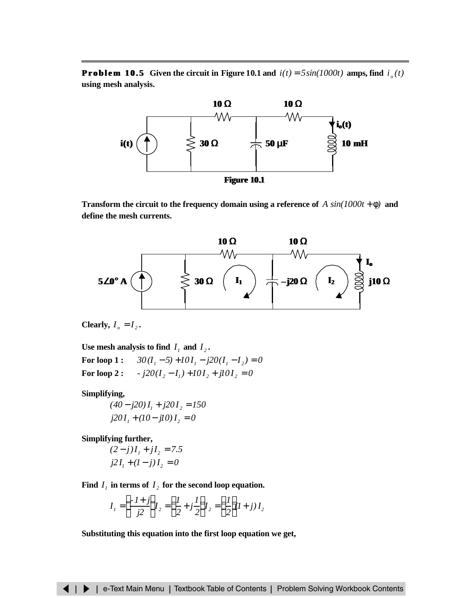**Problem 10.5** Given the circuit in Figure 10.1 and  $i(t) = 5\sin(1000t)$  amps, find  $i_o(t)$ **using mesh analysis.**



**Transform the circuit to the frequency domain using a reference of**  $A \sin(1000t + \phi)$  and **define the mesh currents.**



Clearly,  $I_o = I_2$ .

Use mesh analysis to find  $I_1$  and  $I_2$ .

**For loop 1 :**  $I_1 - 5$ ) +  $10I_1 - j20(I_1 - I_2) = 0$ **For loop 2 :**  $I_2 - I_1$ ) +  $10I_2$  +  $j10I_2$  = 0

**Simplifying,**

$$
(40 - j20)I1 + j20I2 = 150
$$
  

$$
j20I1 + (10 - j10)I2 = 0
$$

**Simplifying further,**

$$
(2-j)I_1 + jI_2 = 7.5
$$
  

$$
j2I_1 + (1-j)I_2 = 0
$$

Find  $I_1$  in terms of  $I_2$  for the second loop equation.

$$
I_1 = \left(\frac{-1+j}{j2}\right) I_2 = \left(\frac{1}{2} + j\frac{1}{2}\right) I_2 = \left(\frac{1}{2}\right) I + j I_2
$$

**Substituting this equation into the first loop equation we get,**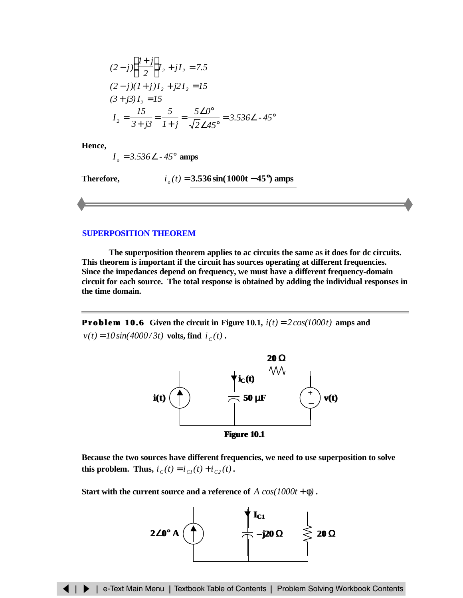<span id="page-7-0"></span>
$$
(2-j)\left(\frac{1+j}{2}\right)I_2 + jI_2 = 7.5
$$
  
\n
$$
(2-j)(1+j)I_2 + j2I_2 = 15
$$
  
\n
$$
(3+j3)I_2 = 15
$$
  
\n
$$
I_2 = \frac{15}{3+j3} = \frac{5}{1+j} = \frac{5\angle 0^{\circ}}{\sqrt{2}\angle 45^{\circ}} = 3.536\angle -45^{\circ}
$$

**Hence,**

*I*<sub>*o*</sub> = 3.536∠ *-* 45<sup>°</sup> **amps** 

**Therefore,**  $i_a(t) = 3.536 \sin(1000t - 45^{\circ})$  amps

### **SUPERPOSITION THEOREM**

**The superposition theorem applies to ac circuits the same as it does for dc circuits. This theorem is important if the circuit has sources operating at different frequencies. Since the impedances depend on frequency, we must have a different frequency-domain circuit for each source. The total response is obtained by adding the individual responses in the time domain.**

**Problem 10.6** Given the circuit in Figure 10.1,  $i(t) = 2\cos(1000t)$  amps and  $v(t) = 10 \sin(4000/3t)$  volts, find  $i_c(t)$ .



**Because the two sources have different frequencies, we need to use superposition to solve this problem.** Thus,  $i_c(t) = i_{c}(t) + i_{c}(t)$ .

**Start with the current source and a reference of**  $A \cos(1000t + \phi)$ .

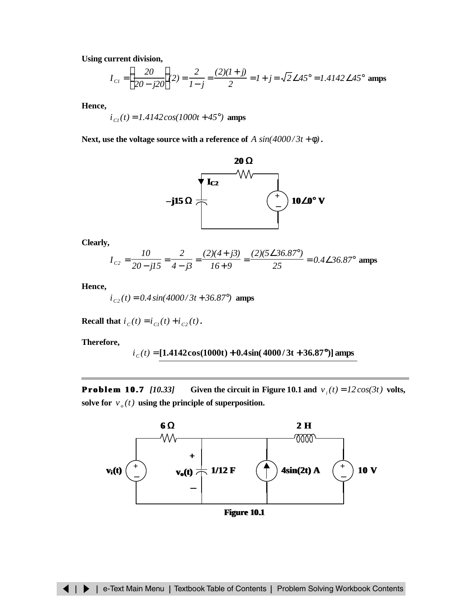**Using current division,**

$$
I_{C1} = \left(\frac{20}{20 - j20}\right)2 = \frac{2}{1 - j} = \frac{(2)(1 + j)}{2} = 1 + j = \sqrt{2} \angle 45^{\circ} = 1.4142 \angle 45^{\circ}
$$
amps

**Hence,**

$$
i_{\text{Cl}}(t) = 1.4142 \cos(1000t + 45^{\circ})
$$
amps

**Next, use the voltage source with a reference of**  $A \sin(4000/3t + \phi)$ **.** 



**Clearly,**

$$
I_{c2} = \frac{10}{20 - jI5} = \frac{2}{4 - j3} = \frac{(2)(4 + j3)}{16 + 9} = \frac{(2)(5\angle 36.87^{\circ})}{25} = 0.4\angle 36.87^{\circ}
$$
amps

**Hence,**

 $i_{c2}(t) = 0.4 \sin(4000/3t + 36.87^{\circ})$  amps

**Recall that**  $i_c(t) = i_{c1}(t) + i_{c2}(t)$ .

**Therefore,**

*i C (t)* = **[1.4142cos(1000t) + 0.4sin( 4000/ 3t + 36.87°)] amps**

**Problem 10.7** *[10.33]* Given the circuit in Figure 10.1 and  $v_i(t) = 12\cos(3t)$  volts, solve for  $v_{o}(t)$  using the principle of superposition.

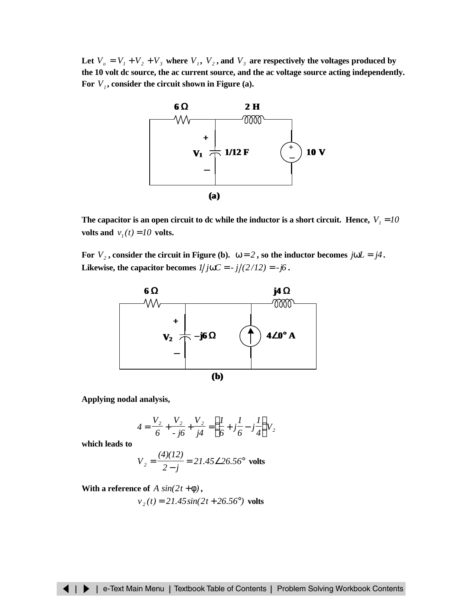Let  $V_o = V_1 + V_2 + V_3$  where  $V_1$ ,  $V_2$ , and  $V_3$  are respectively the voltages produced by **the 10 volt dc source, the ac current source, and the ac voltage source acting independently. For** *V<sup>1</sup>* **, consider the circuit shown in Figure (a).**



The capacitor is an open circuit to dc while the inductor is a short circuit. Hence,  $V<sub>1</sub> = 10$ **volts and**  $v_1(t) = 10$  **volts.** 

**For**  $V_2$ , consider the circuit in Figure (b).  $\omega = 2$ , so the inductor becomes  $j\omega L = j4$ . **Likewise, the capacitor becomes**  $1/j\omega C = -j/(2/12) = -j6$ .



**Applying nodal analysis,**

$$
4 = \frac{V_2}{6} + \frac{V_2}{\cdot j6} + \frac{V_2}{j4} = \left(\frac{1}{6} + j\frac{1}{6} - j\frac{1}{4}\right)V_2
$$

**which leads to**

$$
V_2 = \frac{(4)(12)}{2 - j} = 21.45 \angle 26.56^\circ
$$
 volts

**With a reference of**  $A \sin(2t + \phi)$ ,

$$
v_2(t) = 21.45 \sin(2t + 26.56^\circ)
$$
 volts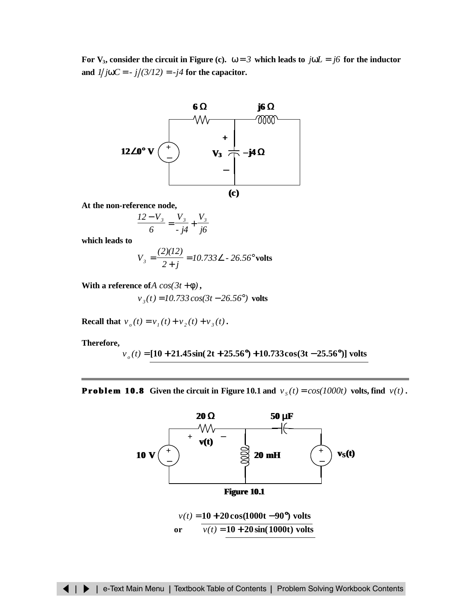**For V**<sub>3</sub>**, consider the circuit in Figure (c).**  $\omega = 3$  which leads to  $j\omega L = j6$  for the inductor and  $1/j\omega C = -j/(3/12) = -j4$  for the capacitor.



**At the non-reference node,**

$$
\frac{12 - V_3}{6} = \frac{V_3}{4} + \frac{V_3}{6}
$$

**which leads to**

$$
V_3 = \frac{(2)(12)}{2+j} = 10.733 \angle -26.56^\circ \text{ volts}
$$

**With a reference of***A*  $cos(3t + \phi)$ ,

$$
v_3(t) = 10.733 \cos(3t - 26.56^\circ)
$$
 volts

**Recall that**  $v_o(t) = v_1(t) + v_2(t) + v_3(t)$ .

**Therefore,**

$$
v_o(t)
$$
 = [10 + 21.45sin(2t + 25.56°) + 10.733cos(3t - 25.56°)] volts

**Problem 10.8** Given the circuit in Figure 10.1 and  $v_s(t) = cos(1000t)$  volts, find  $v(t)$ .

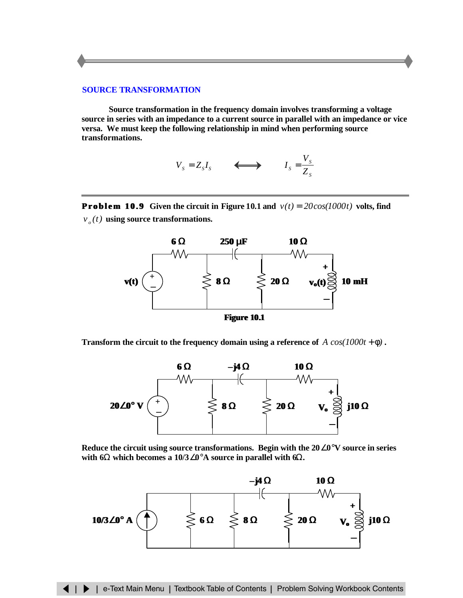## <span id="page-11-0"></span>**SOURCE TRANSFORMATION**

**Source transformation in the frequency domain involves transforming a voltage source in series with an impedance to a current source in parallel with an impedance or vice versa. We must keep the following relationship in mind when performing source transformations.**

$$
V_s = Z_s I_s \qquad \Longleftrightarrow \qquad I_s = \frac{V_s}{Z_s}
$$

**Problem 10.9** Given the circuit in Figure 10.1 and  $v(t) = 20\cos(1000t)$  volts, find  $v_{o}(t)$  **using source transformations.** 



**Figure 10.1**

**Transform the circuit to the frequency domain using a reference of**  $A \cos(1000t + \phi)$ .



**Reduce the circuit using source transformations. Begin with the 20**∠**0**°**V source in series with 6**Ω **which becomes a 10/3**∠**0**°**A source in parallel with 6**Ω**.**

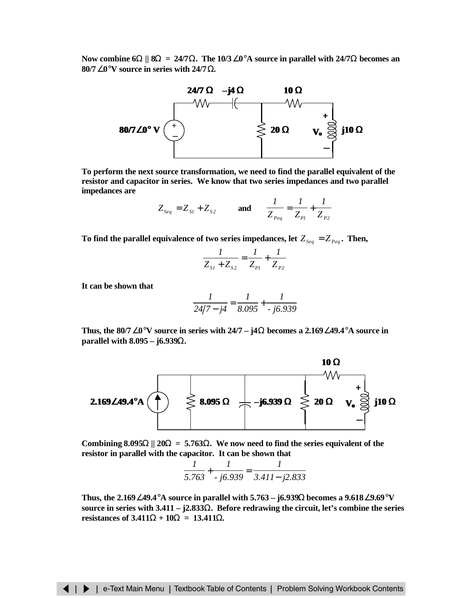**Now combine 6**Ω **|| 8**Ω **= 24/7**Ω**. The 10/3**∠**0**°**A source in parallel with 24/7**Ω **becomes an 80/7**∠**0**°**V source in series with 24/7**Ω**.**



**To perform the next source transformation, we need to find the parallel equivalent of the resistor and capacitor in series. We know that two series impedances and two parallel impedances are**

$$
Z_{Seq} = Z_{SI} + Z_{S2}
$$
 and  $\frac{1}{Z_{Peq}} = \frac{1}{Z_{PI}} + \frac{1}{Z_{P2}}$ 

To find the parallel equivalence of two series impedances, let  $Z_{\text{Seq}} = Z_{\text{P}eq}$ . Then,

$$
\frac{1}{Z_{S1} + Z_{S2}} = \frac{1}{Z_{P1}} + \frac{1}{Z_{P2}}
$$

**It can be shown that**

$$
\frac{1}{24/7 - j4} = \frac{1}{8.095} + \frac{1}{j6.939}
$$

**Thus, the 80/7**∠**0**°**V source in series with 24/7 – j4**Ω **becomes a 2.169**∠**49.4**°**A source in parallel with 8.095 – j6.939**Ω**.**



Combining  $8.095\Omega$  ||  $20\Omega = 5.763\Omega$ . We now need to find the series equivalent of the **resistor in parallel with the capacitor. It can be shown that**

$$
\frac{1}{5.763} + \frac{1}{-j6.939} = \frac{1}{3.411 - j2.833}
$$

**Thus, the 2.169**∠**49.4**°**A source in parallel with 5.763 – j6.939**Ω **becomes a 9.618**∠**9.69**°**V source in series with 3.411 – j2.833**Ω**. Before redrawing the circuit, let's combine the series resistances of**  $3.411\Omega + 10\Omega = 13.411\Omega$ **.**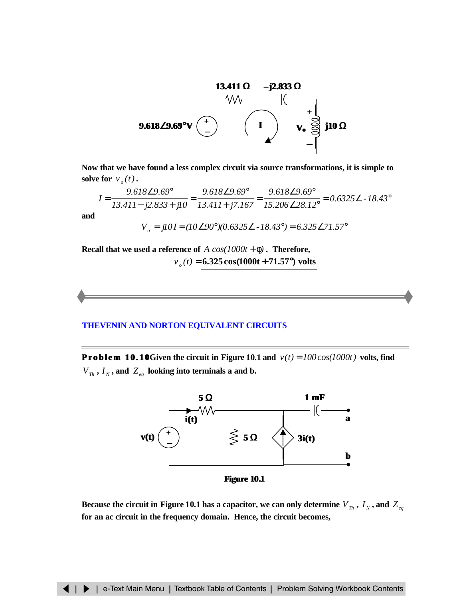<span id="page-13-0"></span>

**Now that we have found a less complex circuit via source transformations, it is simple to solve for**  $v_a(t)$ .

$$
I = \frac{9.618\angle 9.69^{\circ}}{13.411 - j2.833 + j10} = \frac{9.618\angle 9.69^{\circ}}{13.411 + j7.167} = \frac{9.618\angle 9.69^{\circ}}{15.206\angle 28.12^{\circ}} = 0.6325\angle -18.43^{\circ}
$$

**and**

 $V_e = j10I = (10\angle 90^\circ)(0.6325\angle -18.43^\circ) = 6.325\angle 71.57^\circ$ 

**Recall that we used a reference of**  $A \cos(1000t + \phi)$ . Therefore,

*v <sup>o</sup> (t)* = **6.325cos(1000t + 71.57°) volts**

## **THEVENIN AND NORTON EQUIVALENT CIRCUITS**

**Problem 10.10** Given the circuit in Figure 10.1 and  $v(t) = 100 \cos(1000t)$  volts, find  $V_{Th}$ ,  $I_N$ , and  $Z_{eq}$  looking into terminals a and b.



**Figure 10.1**

Because the circuit in Figure 10.1 has a capacitor, we can only determine  $V_{Th}$  ,  $I_N$ , and  $Z_{eq}$ **for an ac circuit in the frequency domain. Hence, the circuit becomes,**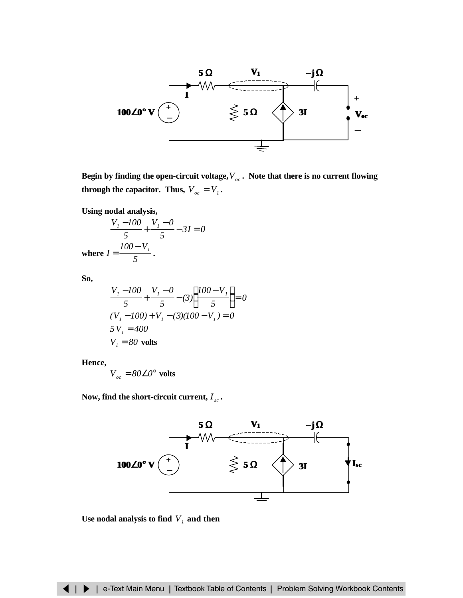

Begin by finding the open-circuit voltage, ${V}_{oc}$  . Note that there is no current flowing **through the capacitor. Thus,**  $V_{oc} = V_1$ .

**Using nodal analysis,**

$$
\frac{V_1 - 100}{5} + \frac{V_1 - 0}{5} - 3I = 0
$$
  
where  $I = \frac{100 - V_1}{5}$ .

**So,**

$$
\frac{V_1 - 100}{5} + \frac{V_1 - 0}{5} - (3) \left( \frac{100 - V_1}{5} \right) = 0
$$
  
(V\_1 - 100) + V\_1 - (3)(100 - V\_1) = 0  
5 V\_1 = 400  
V\_1 = 80 volts

**Hence,**

 $V_{oc} = 80\angle0^{\circ}$  volts

Now, find the short-circuit current,  $I_{sc}$  .



Use nodal analysis to find  $V_I$  and then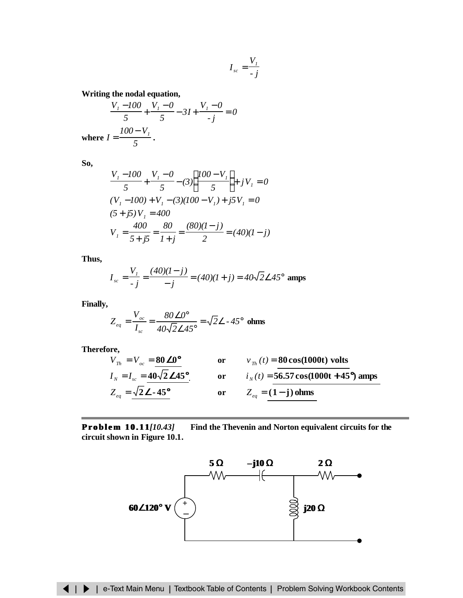$$
I_{sc} = \frac{V_1}{-j}
$$

**Writing the nodal equation,**

$$
\frac{V_1 - 100}{5} + \frac{V_1 - 0}{5} - 3I + \frac{V_1 - 0}{-j} = 0
$$
  
where  $I = \frac{100 - V_1}{5}$ .

**So,**

$$
\frac{V_{I} - 100}{5} + \frac{V_{I} - 0}{5} - (3) \left( \frac{100 - V_{I}}{5} \right) + jV_{I} = 0
$$
  
(V\_{I} - 100) + V\_{I} - (3)(100 - V\_{I}) + j5V\_{I} = 0  
(5 + j5)V\_{I} = 400  

$$
V_{I} = \frac{400}{5 + j5} = \frac{80}{1 + j} = \frac{(80)(1 - j)}{2} = (40)(1 - j)
$$

**Thus,**

$$
I_{sc} = \frac{V_I}{-j} = \frac{(40)(I - j)}{-j} = (40)(I + j) = 40\sqrt{2} \angle 45^{\circ}
$$
amps

**Finally,**

$$
Z_{eq} = \frac{V_{oc}}{I_{sc}} = \frac{80\angle 0^{\circ}}{40\sqrt{2}\angle 45^{\circ}} = \sqrt{2}\angle - 45^{\circ} \text{ ohms}
$$

**Therefore,**

$$
V_{Th} = V_{oc} = \frac{\textbf{80}}{\textbf{D0}^{\circ}}
$$
 or 
$$
v_{Th}(t) = \frac{\textbf{80}}{\textbf{cos}(1000t) \text{ volts}}
$$
  
\n
$$
I_{N} = I_{sc} = \frac{40\sqrt{2} \textbf{D45}^{\circ}}{\sqrt{2} \textbf{D45}^{\circ}}
$$
 or 
$$
i_{N}(t) = \frac{56.57 \cos(1000t) \text{ volts}}{2_{eq} = (1 - j) \text{ ohms}}
$$

**Problem 10.11***[10.43]* **Find the Thevenin and Norton equivalent circuits for the circuit shown in Figure 10.1.**

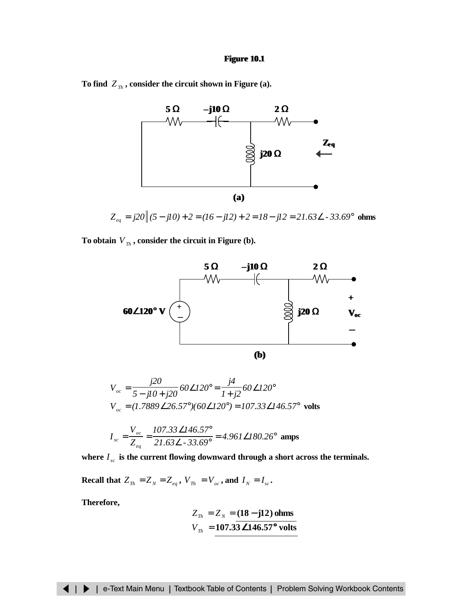### **Figure 10.1**

To find  $Z_{Th}$ , consider the circuit shown in Figure (a).



*Z* = *j20 (5* − *j10)* + *2* = *(16* − *j12)* + *2* = *18*− *j12* = *21.63*∠ *- 33.69*° *eq*  **ohms**

To obtain  $V_{Th}$ , consider the circuit in Figure (b).



$$
V_{oc} = \frac{j20}{5 - jI0 + j20} 60\angle 120^\circ = \frac{j4}{I + j2} 60\angle 120^\circ
$$
  

$$
V_{oc} = (1.7889\angle 26.57^\circ)(60\angle 120^\circ) = 107.33\angle 146.57^\circ
$$
 volts

$$
I_{sc} = \frac{V_{oc}}{Z_{eq}} = \frac{107.33\,\angle 146.57^{\circ}}{21.63\,\angle -33.69^{\circ}} = 4.961\,\angle 180.26^{\circ}
$$
amps

where  $I_{sc}$  is the current flowing downward through a short across the terminals.

**Recall that**  $Z_{Th} = Z_N = Z_{eq}$ ,  $V_{Th} = V_{oc}$ , and  $I_N = I_{sc}$ .

**Therefore,**

$$
Z_{\tau h} = Z_{\scriptscriptstyle N} = \frac{(18 - j12) \text{ ohms}}{107.33 \text{D} 146.57^{\circ} \text{ volts}}
$$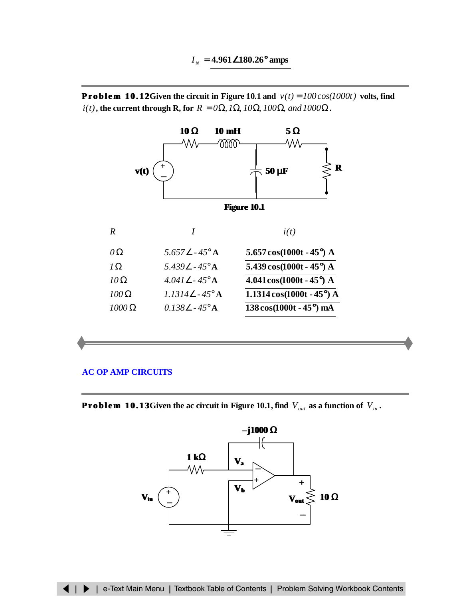<span id="page-17-0"></span>**Problem 10.12Given the circuit in Figure 10.1 and**  $v(t) = 100 \cos(1000t)$  volts, find  $i(t)$ , the current through R, for  $R = 0\Omega$ ,  $I\Omega$ ,  $I0\Omega$ ,  $I00\Omega$ , and  $I000\Omega$ .



# **[AC OP AMP CIRCUITS](#page-18-0)**

**Problem 10.13** Given the ac circuit in Figure 10.1, find  $V_{out}$  as a function of  $V_{in}$ .

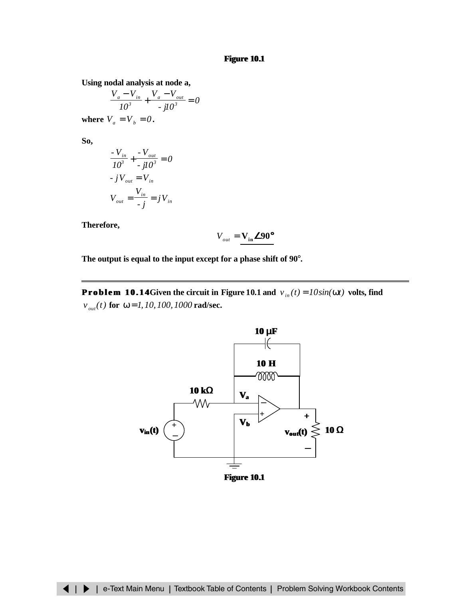<span id="page-18-0"></span>**Using nodal analysis at node a,**

$$
\frac{V_a - V_{in}}{I0^3} + \frac{V_a - V_{out}}{-jI0^3} = 0
$$
  
where  $V_a = V_b = 0$ .

**So,**

$$
\frac{V_{in}}{10^3} + \frac{V_{out}}{j10^3} = 0
$$
  
-  $jV_{out} = V_{in}$   

$$
V_{out} = \frac{V_{in}}{j} = jV_{in}
$$

**Therefore,**

$$
V_{_{out}} = \mathbf{V}_{\text{in}} \textbf{D} 90^{\circ}
$$

**The output is equal to the input except for a phase shift of 90**°**.**

**Problem 10.14** Given the circuit in Figure 10.1 and  $v_{in}(t) = 10sin(\omega t)$  volts, find  $v_{out}(t)$  for  $\omega = 1, 10, 100, 1000$  rad/sec.

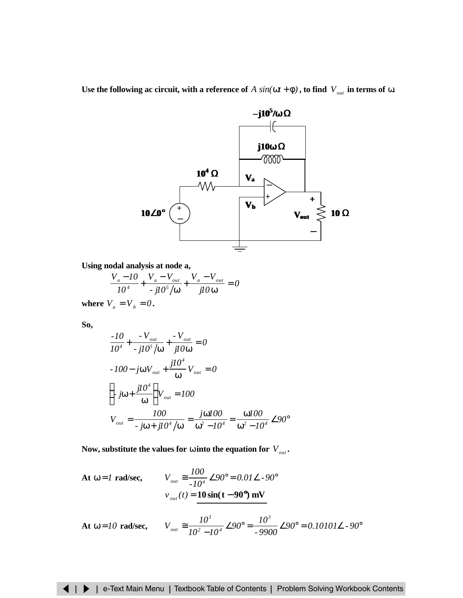Use the following ac circuit, with a reference of  $A \sin(\omega t + \phi)$ , to find  $V_{out}$  in terms of  $\omega$ .



**Using nodal analysis at node a,**

$$
\frac{V_a - I0}{I0^4} + \frac{V_a - V_{out}}{-jI0^5/\omega} + \frac{V_a - V_{out}}{jI0\omega} = 0
$$

**where**  $V_a = V_b = 0$ .

**So,**

$$
\frac{-10}{10^4} + \frac{-V_{out}}{-j10^5/\omega} + \frac{-V_{out}}{j10\omega} = 0
$$
  
\n
$$
-100 - j\omega V_{out} + \frac{j10^4}{\omega} V_{out} = 0
$$
  
\n
$$
\left(-j\omega + \frac{j10^4}{\omega}\right) V_{out} = 100
$$
  
\n
$$
V_{out} = \frac{100}{-j\omega + j10^4/\omega} = \frac{j\omega 100}{\omega^2 - 10^4} = \frac{\omega 100}{\omega^2 - 10^4} \angle 90^\circ
$$

Now, substitute the values for  $\omega$  into the equation for  $V_{\omega u}$ .

At 
$$
\omega = I
$$
 rad/sec,  
\n
$$
V_{out} \approx \frac{100}{-10^4} \angle 90^\circ = 0.01 \angle -90^\circ
$$
\n
$$
v_{out}(t) = 10 \sin(t - 90^\circ) \text{ mV}
$$

At 
$$
\omega = 10
$$
 rad/sec,  $V_{out} \approx \frac{10^3}{10^2 - 10^4} \angle 90^\circ = \frac{10^3}{9900} \angle 90^\circ = 0.10101 \angle 90^\circ$